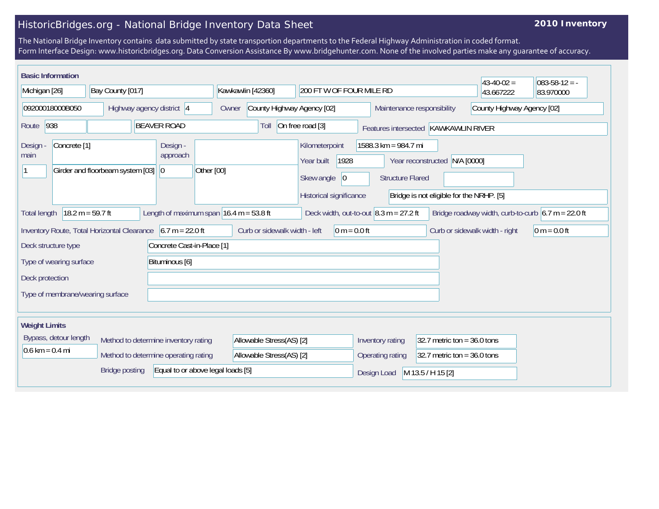## HistoricBridges.org - National Bridge Inventory Data Sheet

## **2010 Inventory**

The National Bridge Inventory contains data submitted by state transportion departments to the Federal Highway Administration in coded format. Form Interface Design: www.historicbridges.org. Data Conversion Assistance By www.bridgehunter.com. None of the involved parties make any guarantee of accuracy.

| <b>Basic Information</b>                                                                                                                                                                                     |                                                                                                                                                                         |                                                   |                                     |                                                                                      |                                                 |                                                                              | $43-40-02 =$               | $ 083-58-12 = -$ |
|--------------------------------------------------------------------------------------------------------------------------------------------------------------------------------------------------------------|-------------------------------------------------------------------------------------------------------------------------------------------------------------------------|---------------------------------------------------|-------------------------------------|--------------------------------------------------------------------------------------|-------------------------------------------------|------------------------------------------------------------------------------|----------------------------|------------------|
| Bay County [017]<br>Michigan [26]                                                                                                                                                                            |                                                                                                                                                                         | Kawkawlin [42360]                                 | 200 FT W OF FOUR MILE RD            |                                                                                      |                                                 | 43.667222                                                                    | 83.970000                  |                  |
| 09200018000B050                                                                                                                                                                                              |                                                                                                                                                                         | Highway agency district 4                         | County Highway Agency [02]<br>Owner |                                                                                      | Maintenance responsibility                      |                                                                              | County Highway Agency [02] |                  |
| 938<br>Route                                                                                                                                                                                                 |                                                                                                                                                                         | <b>BEAVER ROAD</b>                                | Toll                                | On free road [3]                                                                     | Features intersected KAWKAWLIN RIVER            |                                                                              |                            |                  |
| Concrete <sup>[1]</sup><br>Design<br>main                                                                                                                                                                    | Girder and floorbeam system [03]                                                                                                                                        | Design -<br>approach<br>Other [00]<br>$ 0\rangle$ |                                     | Kilometerpoint<br>1928<br>Year built<br>Skew angle<br> 0 <br>Historical significance | 1588.3 km = 984.7 mi<br><b>Structure Flared</b> | N/A [0000]<br>Year reconstructed<br>Bridge is not eligible for the NRHP. [5] |                            |                  |
| $18.2 m = 59.7 ft$<br>Length of maximum span $16.4$ m = 53.8 ft<br>Bridge roadway width, curb-to-curb $6.7 m = 22.0 ft$<br>Deck width, out-to-out $ 8.3 \text{ m} = 27.2 \text{ ft} $<br><b>Total length</b> |                                                                                                                                                                         |                                                   |                                     |                                                                                      |                                                 |                                                                              |                            |                  |
|                                                                                                                                                                                                              | $6.7 m = 22.0 ft$<br>Curb or sidewalk width - left<br>0 m = $0.0$ ft<br>Inventory Route, Total Horizontal Clearance<br>Curb or sidewalk width - right<br>$0 m = 0.0 ft$ |                                                   |                                     |                                                                                      |                                                 |                                                                              |                            |                  |
|                                                                                                                                                                                                              | Concrete Cast-in-Place [1]<br>Deck structure type                                                                                                                       |                                                   |                                     |                                                                                      |                                                 |                                                                              |                            |                  |
| Type of wearing surface                                                                                                                                                                                      |                                                                                                                                                                         | Bituminous [6]                                    |                                     |                                                                                      |                                                 |                                                                              |                            |                  |
| Deck protection                                                                                                                                                                                              |                                                                                                                                                                         |                                                   |                                     |                                                                                      |                                                 |                                                                              |                            |                  |
| Type of membrane/wearing surface                                                                                                                                                                             |                                                                                                                                                                         |                                                   |                                     |                                                                                      |                                                 |                                                                              |                            |                  |
| <b>Weight Limits</b>                                                                                                                                                                                         |                                                                                                                                                                         |                                                   |                                     |                                                                                      |                                                 |                                                                              |                            |                  |
| Bypass, detour length                                                                                                                                                                                        |                                                                                                                                                                         | Method to determine inventory rating              | Allowable Stress(AS) [2]            |                                                                                      | Inventory rating                                | 32.7 metric ton = $36.0$ tons                                                |                            |                  |
| $0.6 \text{ km} = 0.4 \text{ mi}$                                                                                                                                                                            |                                                                                                                                                                         | Method to determine operating rating              | Allowable Stress(AS) [2]            |                                                                                      | Operating rating                                | 32.7 metric ton = $36.0$ tons                                                |                            |                  |
| Equal to or above legal loads [5]<br><b>Bridge posting</b>                                                                                                                                                   |                                                                                                                                                                         |                                                   |                                     | Design Load                                                                          | M 13.5 / H 15 [2]                               |                                                                              |                            |                  |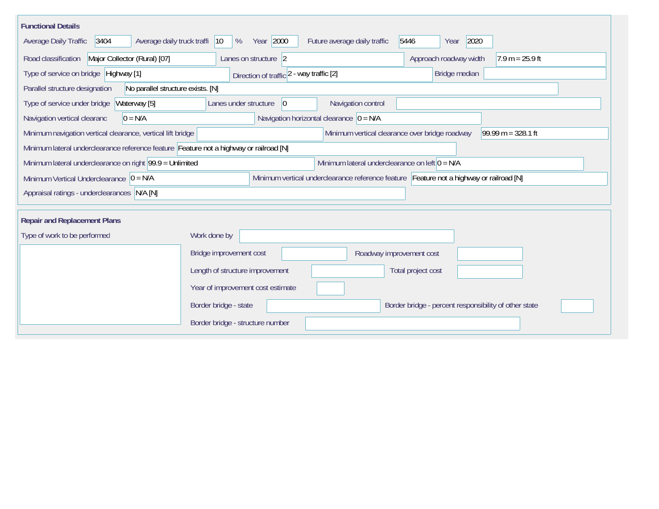| <b>Functional Details</b>                                                                                    |                                                                                         |  |  |  |  |  |  |
|--------------------------------------------------------------------------------------------------------------|-----------------------------------------------------------------------------------------|--|--|--|--|--|--|
| 3404<br>Average daily truck traffi<br>Average Daily Traffic                                                  | Year 2000<br>2020<br>Future average daily traffic<br>5446<br>$ 10\rangle$<br>%<br>Year  |  |  |  |  |  |  |
| Road classification<br>Major Collector (Rural) [07]                                                          | Approach roadway width<br>$7.9 m = 25.9 ft$<br>Lanes on structure 2                     |  |  |  |  |  |  |
| Type of service on bridge Highway [1]                                                                        | Bridge median<br>Direction of traffic 2 - way traffic [2]                               |  |  |  |  |  |  |
| No parallel structure exists. [N]<br>Parallel structure designation                                          |                                                                                         |  |  |  |  |  |  |
| Type of service under bridge<br>Waterway [5]                                                                 | Navigation control<br>Lanes under structure<br>$ 0\rangle$                              |  |  |  |  |  |  |
| $0 = N/A$<br>Navigation vertical clearanc                                                                    | Navigation horizontal clearance $ 0 = N/A$                                              |  |  |  |  |  |  |
| Minimum navigation vertical clearance, vertical lift bridge                                                  | Minimum vertical clearance over bridge roadway<br>99.99 m = $328.1$ ft                  |  |  |  |  |  |  |
| Minimum lateral underclearance reference feature Feature not a highway or railroad [N]                       |                                                                                         |  |  |  |  |  |  |
| Minimum lateral underclearance on left $0 = N/A$<br>Minimum lateral underclearance on right 99.9 = Unlimited |                                                                                         |  |  |  |  |  |  |
| Minimum Vertical Underclearance $ 0 = N/A$                                                                   | Minimum vertical underclearance reference feature Feature not a highway or railroad [N] |  |  |  |  |  |  |
| Appraisal ratings - underclearances N/A [N]                                                                  |                                                                                         |  |  |  |  |  |  |
|                                                                                                              |                                                                                         |  |  |  |  |  |  |
| <b>Repair and Replacement Plans</b>                                                                          |                                                                                         |  |  |  |  |  |  |
| Type of work to be performed                                                                                 | Work done by                                                                            |  |  |  |  |  |  |
|                                                                                                              | Bridge improvement cost<br>Roadway improvement cost                                     |  |  |  |  |  |  |
|                                                                                                              | Length of structure improvement<br>Total project cost                                   |  |  |  |  |  |  |
|                                                                                                              | Year of improvement cost estimate                                                       |  |  |  |  |  |  |
|                                                                                                              | Border bridge - state<br>Border bridge - percent responsibility of other state          |  |  |  |  |  |  |
|                                                                                                              | Border bridge - structure number                                                        |  |  |  |  |  |  |